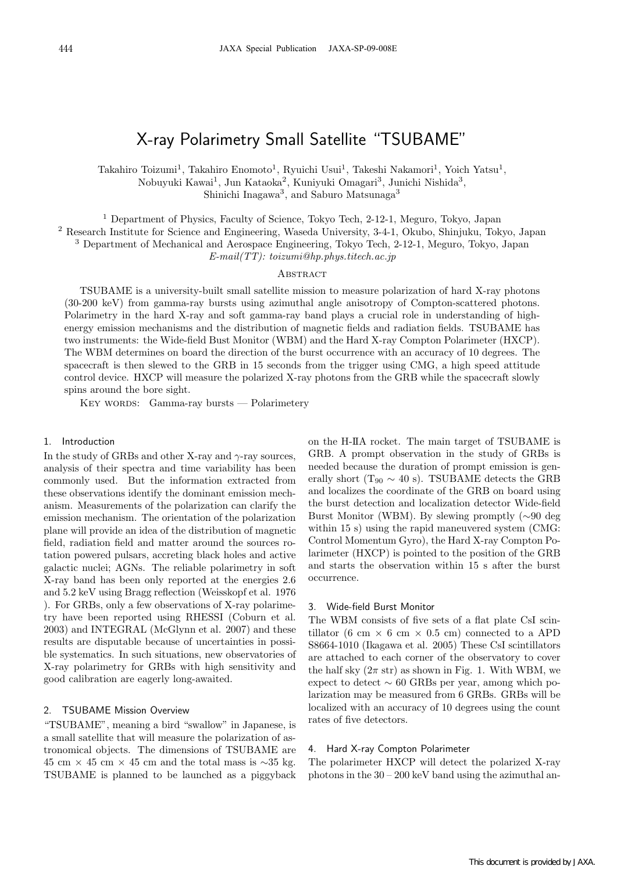# X-ray Polarimetry Small Satellite "TSUBAME"

Takahiro Toizumi<sup>1</sup>, Takahiro Enomoto<sup>1</sup>, Ryuichi Usui<sup>1</sup>, Takeshi Nakamori<sup>1</sup>, Yoich Yatsu<sup>1</sup>, Nobuyuki Kawai<sup>1</sup>, Jun Kataoka<sup>2</sup>, Kuniyuki Omagari<sup>3</sup>, Junichi Nishida<sup>3</sup>, Shinichi Inagawa<sup>3</sup>, and Saburo Matsunaga<sup>3</sup>

<sup>1</sup> Department of Physics, Faculty of Science, Tokyo Tech, 2-12-1, Meguro, Tokyo, Japan

<sup>2</sup> Research Institute for Science and Engineering, Waseda University, 3-4-1, Okubo, Shinjuku, Tokyo, Japan

<sup>3</sup> Department of Mechanical and Aerospace Engineering, Tokyo Tech, 2-12-1, Meguro, Tokyo, Japan

E-mail(TT): toizumi@hp.phys.titech.ac.jp

# **ABSTRACT**

TSUBAME is a university-built small satellite mission to measure polarization of hard X-ray photons (30-200 keV) from gamma-ray bursts using azimuthal angle anisotropy of Compton-scattered photons. Polarimetry in the hard X-ray and soft gamma-ray band plays a crucial role in understanding of highenergy emission mechanisms and the distribution of magnetic fields and radiation fields. TSUBAME has two instruments: the Wide-field Bust Monitor (WBM) and the Hard X-ray Compton Polarimeter (HXCP). The WBM determines on board the direction of the burst occurrence with an accuracy of 10 degrees. The spacecraft is then slewed to the GRB in 15 seconds from the trigger using CMG, a high speed attitude control device. HXCP will measure the polarized X-ray photons from the GRB while the spacecraft slowly spins around the bore sight.

KEY WORDS: Gamma-ray bursts — Polarimetery

#### 1. Introduction

In the study of GRBs and other X-ray and  $\gamma$ -ray sources, analysis of their spectra and time variability has been commonly used. But the information extracted from these observations identify the dominant emission mechanism. Measurements of the polarization can clarify the emission mechanism. The orientation of the polarization plane will provide an idea of the distribution of magnetic field, radiation field and matter around the sources rotation powered pulsars, accreting black holes and active galactic nuclei; AGNs. The reliable polarimetry in soft X-ray band has been only reported at the energies 2.6 and 5.2 keV using Bragg reflection (Weisskopf et al. 1976 ). For GRBs, only a few observations of X-ray polarimetry have been reported using RHESSI (Coburn et al. 2003) and INTEGRAL (McGlynn et al. 2007) and these results are disputable because of uncertainties in possible systematics. In such situations, new observatories of X-ray polarimetry for GRBs with high sensitivity and good calibration are eagerly long-awaited.

# 2. TSUBAME Mission Overview

"TSUBAME", meaning a bird "swallow" in Japanese, is a small satellite that will measure the polarization of astronomical objects. The dimensions of TSUBAME are 45 cm × 45 cm × 45 cm and the total mass is  $\sim$ 35 kg. TSUBAME is planned to be launched as a piggyback

on the H-IIA rocket. The main target of TSUBAME is GRB. A prompt observation in the study of GRBs is needed because the duration of prompt emission is generally short (T<sub>90</sub>  $\sim$  40 s). TSUBAME detects the GRB and localizes the coordinate of the GRB on board using the burst detection and localization detector Wide-field Burst Monitor (WBM). By slewing promptly (∼90 deg within 15 s) using the rapid maneuvered system (CMG: Control Momentum Gyro), the Hard X-ray Compton Polarimeter (HXCP) is pointed to the position of the GRB and starts the observation within 15 s after the burst occurrence.

## 3. Wide-field Burst Monitor

The WBM consists of five sets of a flat plate CsI scintillator (6 cm  $\times$  6 cm  $\times$  0.5 cm) connected to a APD S8664-1010 (Ikagawa et al. 2005) These CsI scintillators are attached to each corner of the observatory to cover the half sky  $(2\pi \text{ str})$  as shown in Fig. 1. With WBM, we expect to detect  $\sim 60$  GRBs per year, among which polarization may be measured from 6 GRBs. GRBs will be localized with an accuracy of 10 degrees using the count rates of five detectors.

#### 4. Hard X-ray Compton Polarimeter

The polarimeter HXCP will detect the polarized X-ray photons in the 30 – 200 keV band using the azimuthal an-